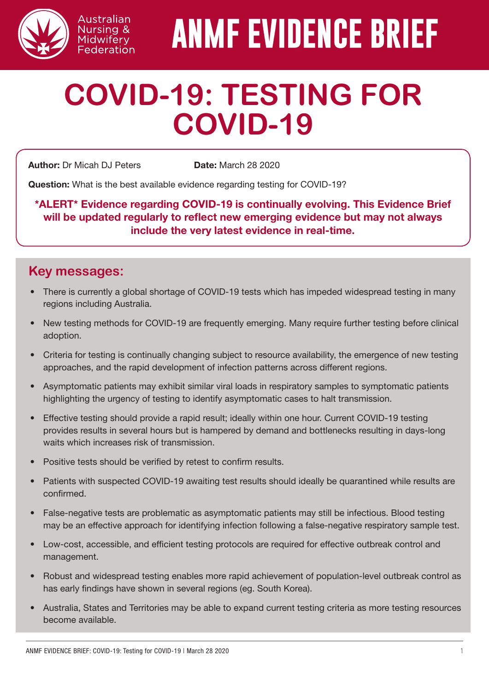

# **ANMF EVIDENCE BRIEF**

# **COVID-19: TESTING FOR COVID-19**

**Author:** Dr Micah DJ Peters **Date:** March 28 2020

Australian Nursing & Midwifery Federation

Question: What is the best available evidence regarding testing for COVID-19?

\*ALERT\* Evidence regarding COVID-19 is continually evolving. This Evidence Brief will be updated regularly to reflect new emerging evidence but may not always include the very latest evidence in real-time.

#### **Key messages:**

- There is currently a global shortage of COVID-19 tests which has impeded widespread testing in many regions including Australia.
- New testing methods for COVID-19 are frequently emerging. Many require further testing before clinical adoption.
- Criteria for testing is continually changing subject to resource availability, the emergence of new testing approaches, and the rapid development of infection patterns across different regions.
- Asymptomatic patients may exhibit similar viral loads in respiratory samples to symptomatic patients highlighting the urgency of testing to identify asymptomatic cases to halt transmission.
- Effective testing should provide a rapid result; ideally within one hour. Current COVID-19 testing provides results in several hours but is hampered by demand and bottlenecks resulting in days-long waits which increases risk of transmission.
- Positive tests should be verified by retest to confirm results.
- Patients with suspected COVID-19 awaiting test results should ideally be quarantined while results are confirmed.
- False-negative tests are problematic as asymptomatic patients may still be infectious. Blood testing may be an effective approach for identifying infection following a false-negative respiratory sample test.
- Low-cost, accessible, and efficient testing protocols are required for effective outbreak control and management.
- Robust and widespread testing enables more rapid achievement of population-level outbreak control as has early findings have shown in several regions (eg. South Korea).
- Australia, States and Territories may be able to expand current testing criteria as more testing resources become available.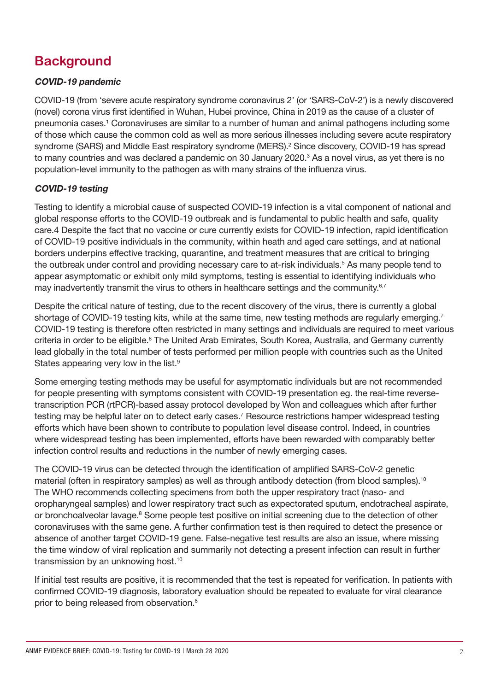## **Background**

#### COVID-19 pandemic

COVID-19 (from 'severe acute respiratory syndrome coronavirus 2' (or 'SARS-CoV-2') is a newly discovered (novel) corona virus first identified in Wuhan, Hubei province, China in 2019 as the cause of a cluster of pneumonia cases.<sup>1</sup> Coronaviruses are similar to a number of human and animal pathogens including some of those which cause the common cold as well as more serious illnesses including severe acute respiratory syndrome (SARS) and Middle East respiratory syndrome (MERS).<sup>2</sup> Since discovery, COVID-19 has spread to many countries and was declared a pandemic on 30 January 2020.<sup>3</sup> As a novel virus, as yet there is no population-level immunity to the pathogen as with many strains of the influenza virus.

#### COVID-19 testing

Testing to identify a microbial cause of suspected COVID-19 infection is a vital component of national and global response efforts to the COVID-19 outbreak and is fundamental to public health and safe, quality care.4 Despite the fact that no vaccine or cure currently exists for COVID-19 infection, rapid identification of COVID-19 positive individuals in the community, within heath and aged care settings, and at national borders underpins effective tracking, quarantine, and treatment measures that are critical to bringing the outbreak under control and providing necessary care to at-risk individuals.<sup>5</sup> As many people tend to appear asymptomatic or exhibit only mild symptoms, testing is essential to identifying individuals who may inadvertently transmit the virus to others in healthcare settings and the community.<sup>6,7</sup>

Despite the critical nature of testing, due to the recent discovery of the virus, there is currently a global shortage of COVID-19 testing kits, while at the same time, new testing methods are regularly emerging.<sup>7</sup> COVID-19 testing is therefore often restricted in many settings and individuals are required to meet various criteria in order to be eligible.<sup>8</sup> The United Arab Emirates, South Korea, Australia, and Germany currently lead globally in the total number of tests performed per million people with countries such as the United States appearing very low in the list.<sup>9</sup>

Some emerging testing methods may be useful for asymptomatic individuals but are not recommended for people presenting with symptoms consistent with COVID-19 presentation eg. the real-time reversetranscription PCR (rtPCR)-based assay protocol developed by Won and colleagues which after further testing may be helpful later on to detect early cases.<sup>7</sup> Resource restrictions hamper widespread testing efforts which have been shown to contribute to population level disease control. Indeed, in countries where widespread testing has been implemented, efforts have been rewarded with comparably better infection control results and reductions in the number of newly emerging cases.

The COVID-19 virus can be detected through the identification of amplified SARS-CoV-2 genetic material (often in respiratory samples) as well as through antibody detection (from blood samples).<sup>10</sup> The WHO recommends collecting specimens from both the upper respiratory tract (naso- and oropharyngeal samples) and lower respiratory tract such as expectorated sputum, endotracheal aspirate, or bronchoalveolar lavage.<sup>8</sup> Some people test positive on initial screening due to the detection of other coronaviruses with the same gene. A further confirmation test is then required to detect the presence or absence of another target COVID-19 gene. False-negative test results are also an issue, where missing the time window of viral replication and summarily not detecting a present infection can result in further transmission by an unknowing host.<sup>10</sup>

If initial test results are positive, it is recommended that the test is repeated for verification. In patients with confirmed COVID-19 diagnosis, laboratory evaluation should be repeated to evaluate for viral clearance prior to being released from observation.8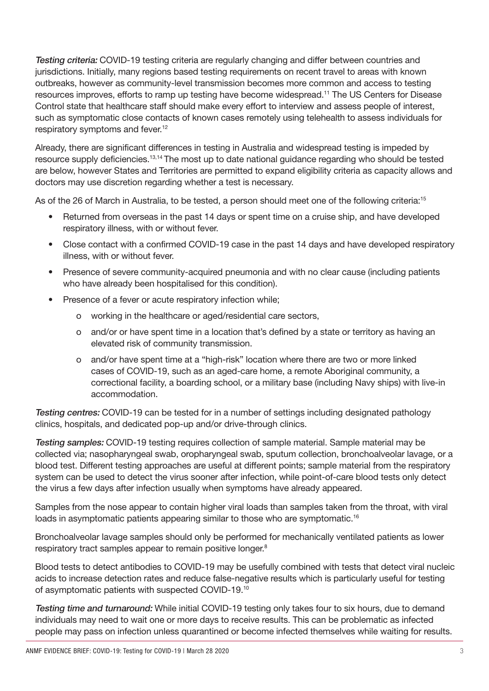Testing criteria: COVID-19 testing criteria are regularly changing and differ between countries and jurisdictions. Initially, many regions based testing requirements on recent travel to areas with known outbreaks, however as community-level transmission becomes more common and access to testing resources improves, efforts to ramp up testing have become widespread.11 The US Centers for Disease Control state that healthcare staff should make every effort to interview and assess people of interest, such as symptomatic close contacts of known cases remotely using telehealth to assess individuals for respiratory symptoms and fever.12

Already, there are significant differences in testing in Australia and widespread testing is impeded by resource supply deficiencies.<sup>13,14</sup> The most up to date national guidance regarding who should be tested are below, however States and Territories are permitted to expand eligibility criteria as capacity allows and doctors may use discretion regarding whether a test is necessary.

As of the 26 of March in Australia, to be tested, a person should meet one of the following criteria:15

- Returned from overseas in the past 14 days or spent time on a cruise ship, and have developed respiratory illness, with or without fever.
- Close contact with a confirmed COVID-19 case in the past 14 days and have developed respiratory illness, with or without fever.
- Presence of severe community-acquired pneumonia and with no clear cause (including patients who have already been hospitalised for this condition).
- Presence of a fever or acute respiratory infection while;
	- o working in the healthcare or aged/residential care sectors,
	- o and/or or have spent time in a location that's defined by a state or territory as having an elevated risk of community transmission.
	- o and/or have spent time at a "high-risk" location where there are two or more linked cases of COVID-19, such as an aged-care home, a remote Aboriginal community, a correctional facility, a boarding school, or a military base (including Navy ships) with live-in accommodation.

**Testing centres: COVID-19 can be tested for in a number of settings including designated pathology** clinics, hospitals, and dedicated pop-up and/or drive-through clinics.

Testing samples: COVID-19 testing requires collection of sample material. Sample material may be collected via; nasopharyngeal swab, oropharyngeal swab, sputum collection, bronchoalveolar lavage, or a blood test. Different testing approaches are useful at different points; sample material from the respiratory system can be used to detect the virus sooner after infection, while point-of-care blood tests only detect the virus a few days after infection usually when symptoms have already appeared.

Samples from the nose appear to contain higher viral loads than samples taken from the throat, with viral loads in asymptomatic patients appearing similar to those who are symptomatic.<sup>16</sup>

Bronchoalveolar lavage samples should only be performed for mechanically ventilated patients as lower respiratory tract samples appear to remain positive longer.<sup>8</sup>

Blood tests to detect antibodies to COVID-19 may be usefully combined with tests that detect viral nucleic acids to increase detection rates and reduce false-negative results which is particularly useful for testing of asymptomatic patients with suspected COVID-19.10

Testing time and turnaround: While initial COVID-19 testing only takes four to six hours, due to demand individuals may need to wait one or more days to receive results. This can be problematic as infected people may pass on infection unless quarantined or become infected themselves while waiting for results.